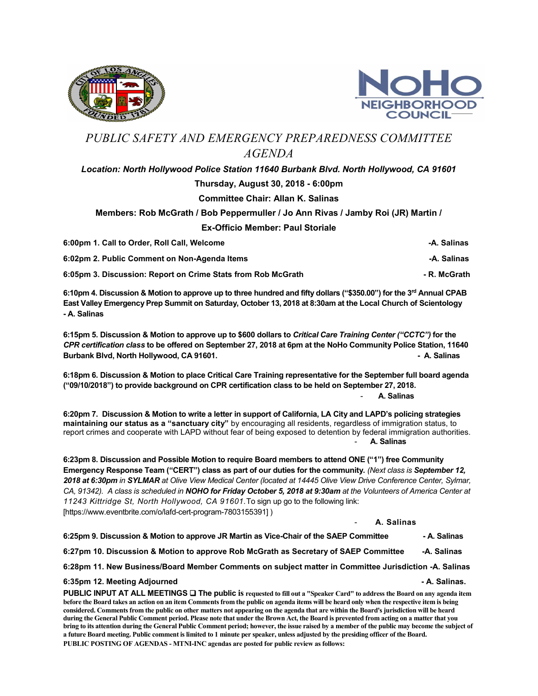



## PUBLIC SAFETY AND EMERGENCY PREPAREDNESS COMMITTEE AGENDA

## Location: North Hollywood Police Station 11640 Burbank Blvd. North Hollywood, CA 91601 Thursday, August 30, 2018 - 6:00pm Committee Chair: Allan K. Salinas

## Members: Rob McGrath / Bob Peppermuller / Jo Ann Rivas / Jamby Roi (JR) Martin / Ex-Officio Member: Paul Storiale

6:00pm 1. Call to Order, Roll Call, Welcome -A. Salinas 6:02pm 2. Public Comment on Non-Agenda Items - A. Salinas -A. Salinas - A. Salinas 6:05pm 3. Discussion: Report on Crime Stats from Rob McGrath - R. McGrath - R. McGrath

6:10pm 4. Discussion & Motion to approve up to three hundred and fifty dollars ("\$350.00") for the 3<sup>rd</sup> Annual CPAB East Valley Emergency Prep Summit on Saturday, October 13, 2018 at 8:30am at the Local Church of Scientology - A. Salinas

6:15pm 5. Discussion & Motion to approve up to \$600 dollars to Critical Care Training Center ("CCTC") for the CPR certification class to be offered on September 27, 2018 at 6pm at the NoHo Community Police Station, 11640 Burbank Blvd, North Hollywood, CA 91601. **A. Salinas** A. Salinas A. Salinas A. Salinas A. Salinas A. Salinas A. Salinas

6:18pm 6. Discussion & Motion to place Critical Care Training representative for the September full board agenda ("09/10/2018") to provide background on CPR certification class to be held on September 27, 2018.

A. Salinas

6:20pm 7. Discussion & Motion to write a letter in support of California, LA City and LAPD's policing strategies maintaining our status as a "sanctuary city" by encouraging all residents, regardless of immigration status, to report crimes and cooperate with LAPD without fear of being exposed to detention by federal immigration authorities. A. Salinas

6:23pm 8. Discussion and Possible Motion to require Board members to attend ONE ("1") free Community Emergency Response Team ("CERT") class as part of our duties for the community. (Next class is September 12, 2018 at 6:30pm in SYLMAR at Olive View Medical Center (located at 14445 Olive View Drive Conference Center, Sylmar, CA, 91342). A class is scheduled in NOHO for Friday October 5, 2018 at 9:30am at the Volunteers of America Center at 11243 Kittridge St, North Hollywood, CA 91601.To sign up go to the following link: [https://www.eventbrite.com/o/lafd-cert-program-7803155391] )

A. Salinas

6:25pm 9. Discussion & Motion to approve JR Martin as Vice-Chair of the SAEP Committee - A. Salinas

6:27pm 10. Discussion & Motion to approve Rob McGrath as Secretary of SAEP Committee - A. Salinas

6:28pm 11. New Business/Board Member Comments on subject matter in Committee Jurisdiction -A. Salinas

## 6:35pm 12. Meeting Adjourned  $\blacksquare$

PUBLIC INPUT AT ALL MEETINGS  $\Box$  The public is requested to fill out a "Speaker Card" to address the Board on any agenda item before the Board takes an action on an item Comments from the public on agenda items will be heard only when the respective item is being considered. Comments from the public on other matters not appearing on the agenda that are within the Board's jurisdiction will be heard during the General Public Comment period. Please note that under the Brown Act, the Board is prevented from acting on a matter that you bring to its attention during the General Public Comment period; however, the issue raised by a member of the public may become the subject of a future Board meeting. Public comment is limited to 1 minute per speaker, unless adjusted by the presiding officer of the Board. PUBLIC POSTING OF AGENDAS - MTNI-INC agendas are posted for public review as follows: